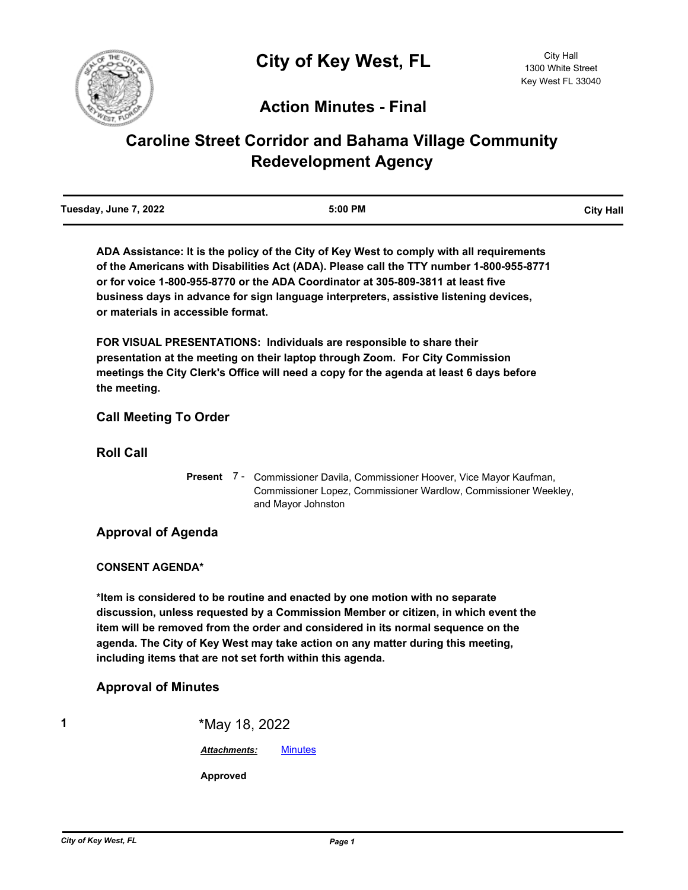

# **Action Minutes - Final**

# **Caroline Street Corridor and Bahama Village Community Redevelopment Agency**

| Tuesday, June 7, 2022 | 5:00 PM | <b>City Hall</b> |
|-----------------------|---------|------------------|
|                       |         |                  |

**ADA Assistance: It is the policy of the City of Key West to comply with all requirements of the Americans with Disabilities Act (ADA). Please call the TTY number 1-800-955-8771 or for voice 1-800-955-8770 or the ADA Coordinator at 305-809-3811 at least five business days in advance for sign language interpreters, assistive listening devices, or materials in accessible format.**

**FOR VISUAL PRESENTATIONS: Individuals are responsible to share their presentation at the meeting on their laptop through Zoom. For City Commission meetings the City Clerk's Office will need a copy for the agenda at least 6 days before the meeting.**

### **Call Meeting To Order**

**Roll Call**

Present 7 - Commissioner Davila, Commissioner Hoover, Vice Mayor Kaufman, Commissioner Lopez, Commissioner Wardlow, Commissioner Weekley, and Mayor Johnston

## **Approval of Agenda**

#### **CONSENT AGENDA\***

**\*Item is considered to be routine and enacted by one motion with no separate discussion, unless requested by a Commission Member or citizen, in which event the item will be removed from the order and considered in its normal sequence on the agenda. The City of Key West may take action on any matter during this meeting, including items that are not set forth within this agenda.**

## **Approval of Minutes**

**1** \*May 18, 2022 *Attachments:* [Minutes](http://KeyWest.legistar.com/gateway.aspx?M=F&ID=6798304c-5fd0-4be0-a6a1-ea6f57d86a21.pdf) **Approved**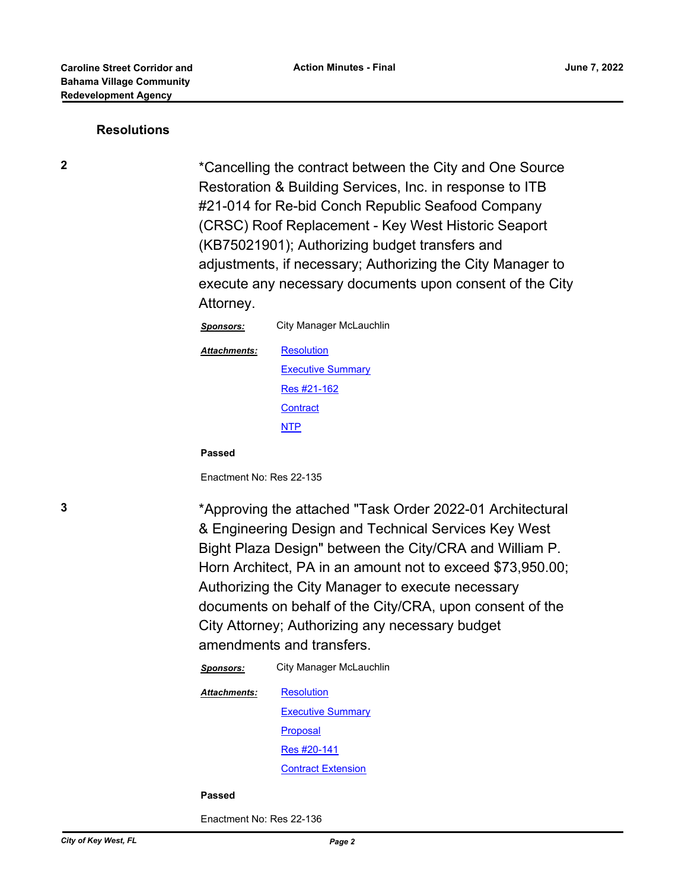#### **Resolutions**

**2** \*Cancelling the contract between the City and One Source Restoration & Building Services, Inc. in response to ITB #21-014 for Re-bid Conch Republic Seafood Company (CRSC) Roof Replacement - Key West Historic Seaport (KB75021901); Authorizing budget transfers and adjustments, if necessary; Authorizing the City Manager to execute any necessary documents upon consent of the City Attorney.

| <b>Sponsors:</b> | City Manager McLauchlin  |
|------------------|--------------------------|
| Attachments:     | Resolution               |
|                  | <b>Executive Summary</b> |
|                  | Res #21-162              |
|                  | <b>Contract</b>          |
|                  | NTP                      |
|                  |                          |

**Passed**

Enactment No: Res 22-135

**3** \*Approving the attached "Task Order 2022-01 Architectural & Engineering Design and Technical Services Key West Bight Plaza Design" between the City/CRA and William P. Horn Architect, PA in an amount not to exceed \$73,950.00; Authorizing the City Manager to execute necessary documents on behalf of the City/CRA, upon consent of the City Attorney; Authorizing any necessary budget amendments and transfers.

*Sponsors:* City Manager McLauchlin

**[Resolution](http://KeyWest.legistar.com/gateway.aspx?M=F&ID=91054160-04ab-4244-80f8-9b93e59cdf68.pdf) [Executive Summary](http://KeyWest.legistar.com/gateway.aspx?M=F&ID=f9b694eb-5fdc-40c3-89b9-81ab96796245.pdf)** [Proposal](http://KeyWest.legistar.com/gateway.aspx?M=F&ID=3b99ae3b-e86a-4d59-9110-1c79d068fae2.pdf) [Res #20-141](http://KeyWest.legistar.com/gateway.aspx?M=F&ID=0a72eaa0-a29d-4680-a182-cdf2ea883005.pdf) [Contract Extension](http://KeyWest.legistar.com/gateway.aspx?M=F&ID=792bb6ff-0067-4fcc-909f-39b7c5dd054b.pdf) *Attachments:*

#### **Passed**

Enactment No: Res 22-136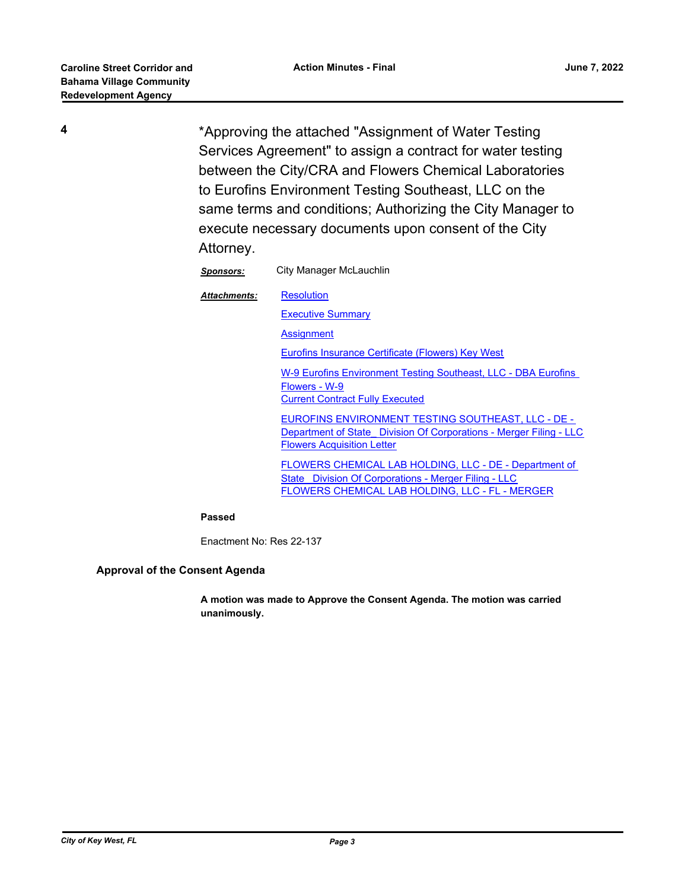**4** \*Approving the attached "Assignment of Water Testing Services Agreement" to assign a contract for water testing between the City/CRA and Flowers Chemical Laboratories to Eurofins Environment Testing Southeast, LLC on the same terms and conditions; Authorizing the City Manager to execute necessary documents upon consent of the City Attorney.

| Sponsors:           | City Manager McLauchlin                           |
|---------------------|---------------------------------------------------|
| <b>Attachments:</b> | <b>Resolution</b>                                 |
|                     | <b>Executive Summary</b>                          |
|                     | <b>Assignment</b>                                 |
|                     | Eurofins Insurance Certificate (Flowers) Key West |

[W-9 Eurofins Environment Testing Southeast, LLC - DBA Eurofins](http://KeyWest.legistar.com/gateway.aspx?M=F&ID=5724ae0e-70e9-4d4b-a968-26652827a0c2.pdf)  Flowers - W-9 [Current Contract Fully Executed](http://KeyWest.legistar.com/gateway.aspx?M=F&ID=bf96ed10-603a-461a-83eb-be518d58bc6f.pdf)

EUROFINS ENVIRONMENT TESTING SOUTHEAST, LLC - DE - [Department of State\\_ Division Of Corporations - Merger Filing - LLC](http://KeyWest.legistar.com/gateway.aspx?M=F&ID=515a2304-ccdf-4b0b-bae5-a1bea15c6c6e.pdf) [Flowers Acquisition Letter](http://KeyWest.legistar.com/gateway.aspx?M=F&ID=83986c5a-6b3e-40f6-8192-f1fc5b12e1ee.pdf)

[FLOWERS CHEMICAL LAB HOLDING, LLC - DE - Department of](http://KeyWest.legistar.com/gateway.aspx?M=F&ID=b74abefb-baa1-41b0-9c85-45f72f437f88.pdf)  State\_ Division Of Corporations - Merger Filing - LLC [FLOWERS CHEMICAL LAB HOLDING, LLC - FL - MERGER](http://KeyWest.legistar.com/gateway.aspx?M=F&ID=d4860ddd-3901-42b3-9736-220f77def6ec.pdf)

**Passed**

Enactment No: Res 22-137

#### **Approval of the Consent Agenda**

**A motion was made to Approve the Consent Agenda. The motion was carried unanimously.**